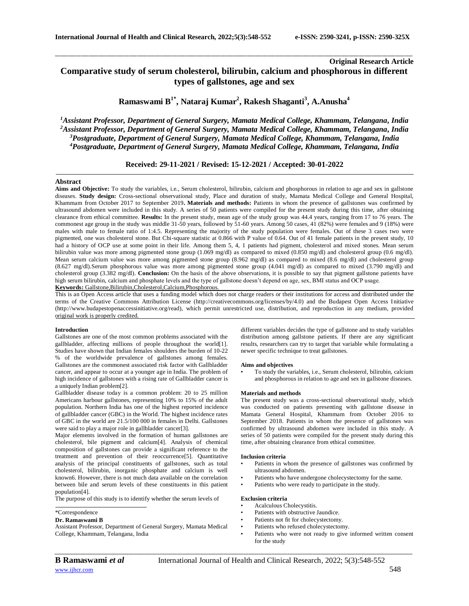# **Original Research Article Comparative study of serum cholesterol, bilirubin, calcium and phosphorous in different types of gallstones, age and sex**

\_\_\_\_\_\_\_\_\_\_\_\_\_\_\_\_\_\_\_\_\_\_\_\_\_\_\_\_\_\_\_\_\_\_\_\_\_\_\_\_\_\_\_\_\_\_\_\_\_\_\_\_\_\_\_\_\_\_\_\_\_\_\_\_\_\_\_\_\_\_\_\_\_\_\_\_\_\_\_\_\_\_\_\_\_\_\_\_\_\_\_\_\_\_\_\_\_\_\_\_\_\_\_\_\_\_\_\_\_\_\_\_\_\_\_\_\_\_\_\_\_\_\_\_\_\_\_\_\_\_\_\_\_\_\_\_\_\_\_\_

**Ramaswami B 1\* , Nataraj Kumar<sup>2</sup> , Rakesh Shaganti<sup>3</sup> , A.Anusha<sup>4</sup>**

*Assistant Professor, Department of General Surgery, Mamata Medical College, Khammam, Telangana, India Assistant Professor, Department of General Surgery, Mamata Medical College, Khammam, Telangana, India Postgraduate, Department of General Surgery, Mamata Medical College, Khammam, Telangana, India Postgraduate, Department of General Surgery, Mamata Medical College, Khammam, Telangana, India*

## **Received: 29-11-2021 / Revised: 15-12-2021 / Accepted: 30-01-2022**

#### **Abstract**

Aims and Objective: To study the variables, i.e., Serum cholesterol, bilirubin, calcium and phosphorous in relation to age and sex in gallstone diseases. **Study design:** Cross-sectional observational study, Place and duration of study, Mamata Medical College and General Hospital, Khammam from October 2017 to September 2019**. Materials and methods:** Patients in whom the presence of gallstones was confirmed by ultrasound abdomen were included in this study. A series of 50 patients were compiled for the present study during this time, after obtaining clearance from ethical committee. **Results:** In the present study, mean age of the study group was 44.4 years, ranging from 17 to 76 years. The commonest age group in the study was middle 31-50 years, followed by 51-60 years. Among 50 cases, 41 (82%) were females and 9 (18%) were males with male to female ratio of 1:4.5. Representing the majority of the study population were females. Out of these 3 cases two were pigmented, one was cholesterol stone. But Chi-square statistic at 0.866 with P value of 0.64. Out of 41 female patients in the present study, 10 had a history of OCP use at some point in their life. Among them 5, 4, 1 patients had pigment, cholesterol and mixed stones. Mean serum bilirubin value was more among pigmented stone group (1.069 mg/dl) as compared to mixed (0.850 mg/dl) and cholesterol group (0.6 mg/dl). Mean serum calcium value was more among pigmented stone group (8.962 mg/dl) as compared to mixed (8.6 mg/dl) and cholesterol group (8.627 mg/dl).Serum phosphorous value was more among pigmented stone group (4.041 mg/dl) as compared to mixed (3.790 mg/dl) and cholesterol group (3.382 mg/dl). **Conclusion:** On the basis of the above observations, it is possible to say that pigment gallstone patients have high serum bilirubin, calcium and phosphate levels and the type of gallstone doesn't depend on age, sex, BMI status and OCP usage. **Keywords:** Gallstone,Bilirubin,Cholesterol,Calcium,Phosphorous.

This is an Open Access article that uses a funding model which does not charge readers or their institutions for access and distributed under the terms of the Creative Commons Attribution License (http://creativecommons.org/licenses/by/4.0) and the Budapest Open Access Initiative (http://www.budapestopenaccessinitiative.org/read), which permit unrestricted use, distribution, and reproduction in any medium, provided original work is properly credited.

### **Introduction**

Gallstones are one of the most common problems associated with the gallbladder, affecting millions of people throughout the world[1]. Studies have shown that Indian females shoulders the burden of 10-22 % of the worldwide prevalence of gallstones among females. Gallstones are the commonest associated risk factor with Gallbladder cancer, and appear to occur at a younger age in India. The problem of high incidence of gallstones with a rising rate of Gallbladder cancer is a uniquely Indian problem[2].

Gallbladder disease today is a common problem: 20 to 25 million Americans harbour gallstones, representing 10% to 15% of the adult population. Northern India has one of the highest reported incidence of gallbladder cancer (GBC) in the World. The highest incidence rates of GBC in the world are 21.5/100 000 in females in Delhi. Gallstones were said to play a major role in gallbladder cancer[3].

Major elements involved in the formation of human gallstones are cholesterol, bile pigment and calcium[4]. Analysis of chemical composition of gallstones can provide a significant reference to the treatment and prevention of their reoccurrence[5]. Quantitative analysis of the principal constituents of gallstones, such as total cholesterol, bilirubin, inorganic phosphate and calcium is well known6. However, there is not much data available on the correlation between bile and serum levels of these constituents in this patient population[4].

The purpose of this study is to identify whether the serum levels of

#### \*Correspondence

#### **Dr. Ramaswami B**

Assistant Professor, Department of General Surgery, Mamata Medical College, Khammam, Telangana, India

different variables decides the type of gallstone and to study variables distribution among gallstone patients. If there are any significant results, researchers can try to target that variable while formulating a newer specific technique to treat gallstones.

#### **Aims and objectives**

• To study the variables, i.e., Serum cholesterol, bilirubin, calcium and phosphorous in relation to age and sex in gallstone diseases.

#### **Materials and methods**

The present study was a cross-sectional observational study, which was conducted on patients presenting with gallstone disease in Mamata General Hospital, Khammam from October 2016 to September 2018. Patients in whom the presence of gallstones was confirmed by ultrasound abdomen were included in this study. A series of 50 patients were compiled for the present study during this time, after obtaining clearance from ethical committee.

#### **Inclusion criteria**

- Patients in whom the presence of gallstones was confirmed by ultrasound abdomen.
- Patients who have undergone cholecystectomy for the same.
- Patients who were ready to participate in the study.

#### **Exclusion criteria**

- Acalculous Cholecystitis.
- Patients with obstructive Jaundice.
- Patients not fit for cholecystectomy.
- Patients who refused cholecystectomy.
- Patients who were not ready to give informed written consent for the study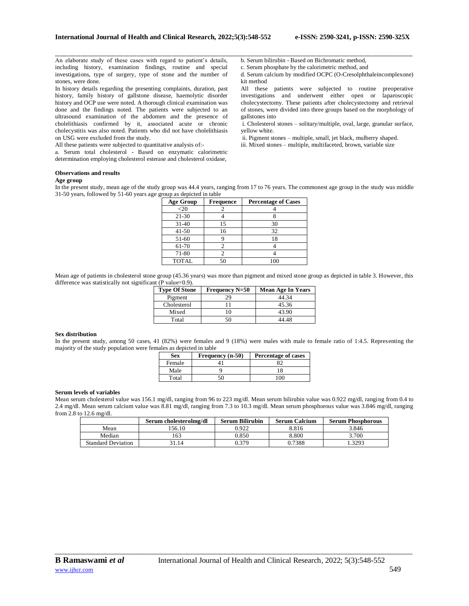An elaborate study of these cases with regard to patient's details, including history, examination findings, routine and special investigations, type of surgery, type of stone and the number of stones, were done.

In history details regarding the presenting complaints, duration, past history, family history of gallstone disease, haemolytic disorder history and OCP use were noted. A thorough clinical examination was done and the findings noted. The patients were subjected to an ultrasound examination of the abdomen and the presence of cholelithiasis confirmed by it, associated acute or chronic cholecystitis was also noted. Patients who did not have cholelithiasis on USG were excluded from the study.

All these patients were subjected to quantitative analysis of:-

a. Serum total cholesterol - Based on enzymatic calorimetric determination employing cholesterol esterase and cholesterol oxidase,

b. Serum bilirubin - Based on Bichromatic method,

c. Serum phosphate by the calorimetric method, and

d. Serum calcium by modified OCPC (O-Cresolphthaleincomplexone) kit method

All these patients were subjected to routine preoperative investigations and underwent either open or laparoscopic cholecystectomy. These patients after cholecystectomy and retrieval of stones, were divided into three groups based on the morphology of gallstones into

i. Cholesterol stones – solitary/multiple, oval, large, granular surface, yellow white.

ii. Pigment stones – multiple, small, jet black, mulberry shaped.

iii. Mixed stones – multiple, multifaceted, brown, variable size

#### **Observations and results**

## **Age group**

In the present study, mean age of the study group was 44.4 years, ranging from 17 to 76 years. The commonest age group in the study was middle 31-50 years, followed by 51-60 years age group as depicted in table

\_\_\_\_\_\_\_\_\_\_\_\_\_\_\_\_\_\_\_\_\_\_\_\_\_\_\_\_\_\_\_\_\_\_\_\_\_\_\_\_\_\_\_\_\_\_\_\_\_\_\_\_\_\_\_\_\_\_\_\_\_\_\_\_\_\_\_\_\_\_\_\_\_\_\_\_\_\_\_\_\_\_\_\_\_\_\_\_\_\_\_\_\_\_\_\_\_\_\_\_\_\_\_\_\_\_\_\_\_\_\_\_\_\_\_\_\_\_\_\_\_\_\_\_\_\_\_\_\_\_\_\_\_\_\_\_\_\_\_\_

| <b>Age Group</b> | <b>Frequence</b> | <b>Percentage of Cases</b> |
|------------------|------------------|----------------------------|
| $<$ 20           |                  |                            |
| 21-30            |                  |                            |
| $31-40$          | 15               | 30                         |
| $41 - 50$        | 16               | 32                         |
| 51-60            |                  | 18                         |
| 61-70            |                  |                            |
| 71-80            |                  |                            |
| <b>TOTAL</b>     |                  |                            |

Mean age of patients in cholesterol stone group (45.36 years) was more than pigment and mixed stone group as depicted in table 3. However, this difference was statistically not significant (P value=0.9).

| <b>Type Of Stone</b> | <b>Frequency N=50</b> | Mean Age In Years |
|----------------------|-----------------------|-------------------|
| Pigment              | 29                    | 44.34             |
| Cholesterol          |                       | 45.36             |
| Mixed                |                       | 43.90             |
| Total                | 50                    | 44 48             |

#### **Sex distribution**

In the present study, among 50 cases, 41 (82%) were females and 9 (18%) were males with male to female ratio of 1:4.5. Representing the majority of the study population were females as depicted in table

| <b>Sex</b> | Frequency (n-50) | Percentage of cases |
|------------|------------------|---------------------|
| Female     |                  |                     |
| Male       |                  |                     |
| Total      |                  | ነበበ                 |

## **Serum levels of variables**

Mean serum cholesterol value was 156.1 mg/dl, ranging from 96 to 223 mg/dl. Mean serum bilirubin value was 0.922 mg/dl, ranging from 0.4 to 2.4 mg/dl. Mean serum calcium value was 8.81 mg/dl, ranging from 7.3 to 10.3 mg/dl. Mean serum phosphorous value was 3.846 mg/dl, ranging from 2.8 to 12.6 mg/dl.

|                           | Serum cholesterolmg/dl | <b>Serum Bilirubin</b> | <b>Serum Calcium</b> | <b>Serum Phosphorous</b> |
|---------------------------|------------------------|------------------------|----------------------|--------------------------|
| Mean                      | '56.10                 | 0.922                  | 8.816                | 3.846                    |
| Median                    | 163                    | 0.850                  | 8.800                | 3.700                    |
| <b>Standard Deviation</b> | 31.14                  | 0.379                  | 0.7388               | .3293                    |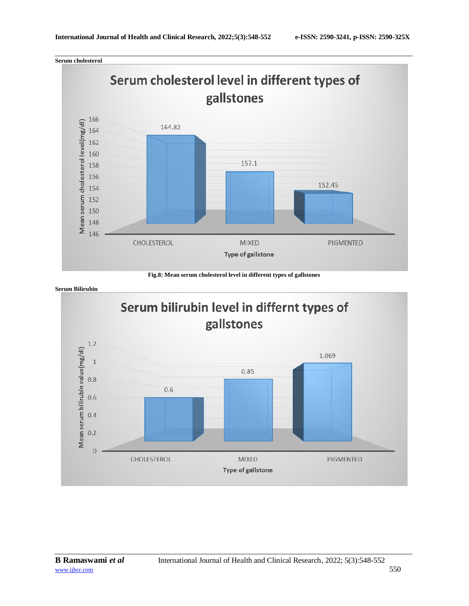\_\_\_\_\_\_\_\_\_\_\_\_\_\_\_\_\_\_\_\_\_\_\_\_\_\_\_\_\_\_\_\_\_\_\_\_\_\_\_\_\_\_\_\_\_\_\_\_\_\_\_\_\_\_\_\_\_\_\_\_\_\_\_\_\_\_\_\_\_\_\_\_\_\_\_\_\_\_\_\_\_\_\_\_\_\_\_\_\_\_\_\_\_\_\_\_\_\_\_\_\_\_\_\_\_\_\_\_\_\_\_\_\_\_\_\_\_\_\_\_\_\_\_\_\_\_\_\_\_\_\_\_\_\_\_\_\_\_\_\_ **Serum cholesterol**



**Fig.8: Mean serum cholesterol level in different types of gallstones**

**Serum Bilirubin**

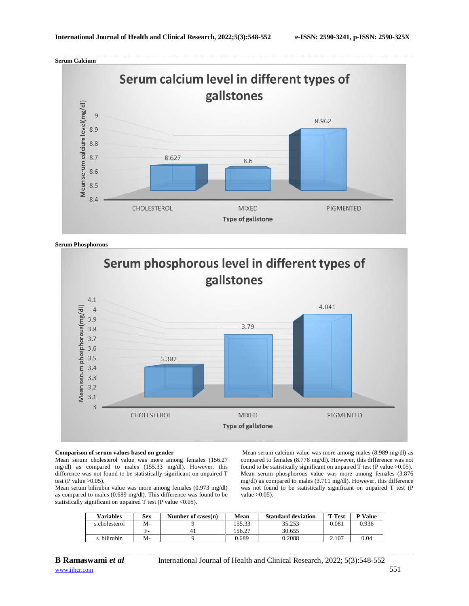

**Serum Phosphorous**



#### **Comparison of serum values based on gender**

Mean serum cholesterol value was more among females (156.27 mg/dl) as compared to males (155.33 mg/dl). However, this difference was not found to be statistically significant on unpaired T test (P value  $>0.05$ ).

Mean serum bilirubin value was more among females (0.973 mg/dl) as compared to males (0.689 mg/dl). This difference was found to be statistically significant on unpaired T test (P value <0.05).

Mean serum calcium value was more among males (8.989 mg/dl) as compared to females (8.778 mg/dl). However, this difference was not found to be statistically significant on unpaired T test (P value  $>0.05$ ). Mean serum phosphorous value was more among females (3.876 mg/dl) as compared to males (3.711 mg/dl). However, this difference was not found to be statistically significant on unpaired T test (P value  $>0.05$ ).

| Variables     | <b>Sex</b> | Number of cases $(n)$ | Mean   | <b>Standard deviation</b> | <b>T</b> Test | <b>P</b> Value |
|---------------|------------|-----------------------|--------|---------------------------|---------------|----------------|
| s.cholesterol | M-         |                       | 155.33 | 35.253                    | 0.081         | 0.936          |
|               | E-         |                       | 56.27  | 30.655                    |               |                |
| s. bilirubin  | M-         |                       | 0.689  | 0.2088                    | 2.107         | 0.04           |